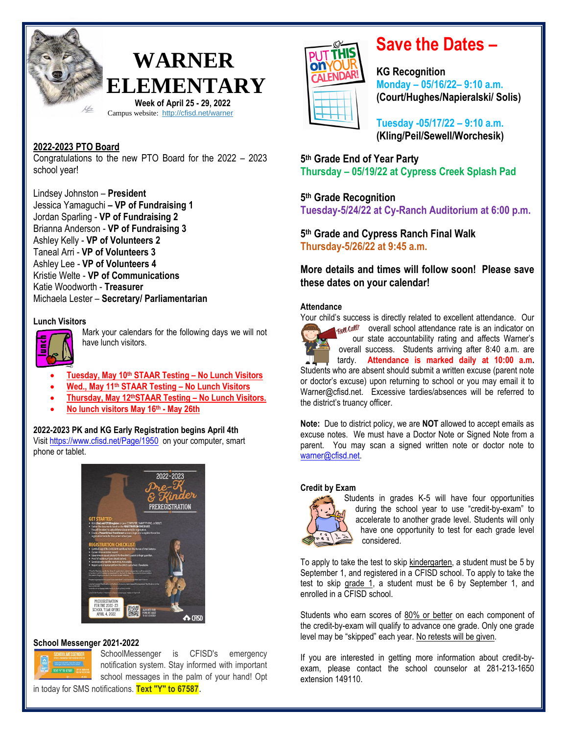

## **WARNER ELEMENTARY Week of April 25 - 29, 2022**

Campus website: <http://cfisd.net/warner>

#### **2022-2023 PTO Board**

Congratulations to the new PTO Board for the 2022 – 2023 school year!

Lindsey Johnston – **President** Jessica Yamaguchi **– VP of Fundraising 1** Jordan Sparling - **VP of Fundraising 2** Brianna Anderson - **VP of Fundraising 3** Ashley Kelly - **VP of Volunteers 2** Taneal Arri - **VP of Volunteers 3** Ashley Lee - **VP of Volunteers 4** Kristie Welte - **VP of Communications** Katie Woodworth - **Treasurer** Michaela Lester – **Secretary/ Parliamentarian**

#### **Lunch Visitors**



Mark your calendars for the following days we will not have lunch visitors.

- **Tuesday, May 10th STAAR Testing – No Lunch Visitors**
- **Wed., May 11th STAAR Testing – No Lunch Visitors**
- **Thursday, May 12thSTAAR Testing – No Lunch Visitors.**
- **No lunch visitors May 16th - May 26th**

#### **2022-2023 PK and KG Early Registration begins April 4th** Visit <https://www.cfisd.net/Page/1950> on your computer, smart

phone or tablet.



#### **School Messenger 2021-2022**



SchoolMessenger is CFISD's emergency notification system. Stay informed with important school messages in the palm of your hand! Opt CALENDA

## **Save the Dates –**

**KG Recognition Monday – 05/16/22– 9:10 a.m. (Court/Hughes/Napieralski/ Solis)**

**Tuesday -05/17/22 – 9:10 a.m. (Kling/Peil/Sewell/Worchesik)**

**5 th Grade End of Year Party Thursday – 05/19/22 at Cypress Creek Splash Pad**

**5 th Grade Recognition Tuesday-5/24/22 at Cy-Ranch Auditorium at 6:00 p.m.**

**5 th Grade and Cypress Ranch Final Walk Thursday-5/26/22 at 9:45 a.m.**

**More details and times will follow soon! Please save these dates on your calendar!**

#### **Attendance**

Your child's success is directly related to excellent attendance. Our

 $\text{log}$  cally overall school attendance rate is an indicator on our state accountability rating and affects Warner's overall success. Students arriving after 8:40 a.m. are tardy. **Attendance is marked daily at 10:00 a.m.**  Students who are absent should submit a written excuse (parent note or doctor's excuse) upon returning to school or you may email it to Warner@cfisd.net. Excessive tardies/absences will be referred to the district's truancy officer.

**Note:** Due to district policy, we are **NOT** allowed to accept emails as excuse notes. We must have a Doctor Note or Signed Note from a parent. You may scan a signed written note or doctor note to [warner@cfisd.net.](mailto:warner@cfisd.net)

#### **Credit by Exam**



Students in grades K-5 will have four opportunities during the school year to use "credit-by-exam" to accelerate to another grade level. Students will only have one opportunity to test for each grade level considered.

To apply to take the test to skip kindergarten, a student must be 5 by September 1, and registered in a CFISD school. To apply to take the test to skip grade 1, a student must be 6 by September 1, and enrolled in a CFISD school.

Students who earn scores of 80% or better on each component of the credit-by-exam will qualify to advance one grade. Only one grade level may be "skipped" each year. No retests will be given.

If you are interested in getting more information about credit-byexam, please contact the school counselor at 281-213-1650 extension 149110.

in today for SMS notifications. **Text "Y" to 67587**.